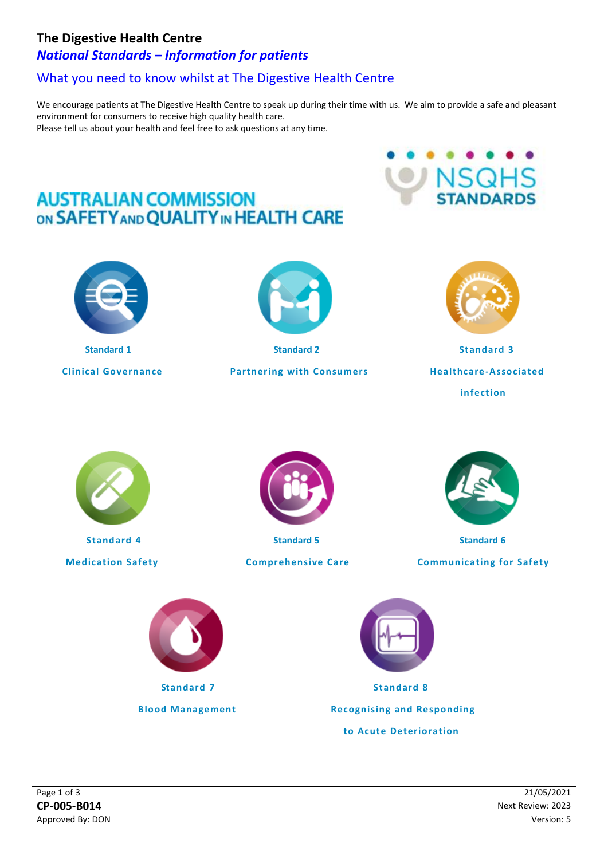## **The Digestive Health Centre**

## *National Standards – Information for patients*

# What you need to know whilst at The Digestive Health Centre

We encourage patients at The Digestive Health Centre to speak up during their time with us. We aim to provide a safe and pleasant environment for consumers to receive high quality health care. Please tell us about your health and feel free to ask questions at any time.

# **AUSTRALIAN COMMISSION** ON SAFETY AND QUALITY IN HEALTH CARE



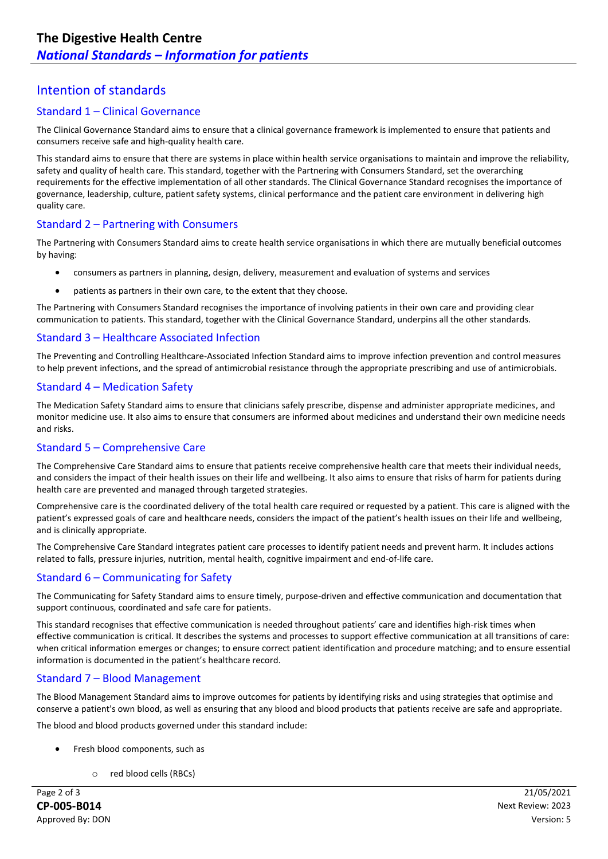## Intention of standards

#### Standard 1 – Clinical Governance

The Clinical Governance Standard aims to ensure that a clinical governance framework is implemented to ensure that patients and consumers receive safe and high-quality health care.

This standard aims to ensure that there are systems in place within health service organisations to maintain and improve the reliability, safety and quality of health care. This standard, together with the Partnering with Consumers Standard, set the overarching requirements for the effective implementation of all other standards. The Clinical Governance Standard recognises the importance of governance, leadership, culture, patient safety systems, clinical performance and the patient care environment in delivering high quality care.

#### Standard 2 – Partnering with Consumers

The Partnering with Consumers Standard aims to create health service organisations in which there are mutually beneficial outcomes by having:

- consumers as partners in planning, design, delivery, measurement and evaluation of systems and services
- patients as partners in their own care, to the extent that they choose.

The Partnering with Consumers Standard recognises the importance of involving patients in their own care and providing clear communication to patients. This standard, together with the Clinical Governance Standard, underpins all the other standards.

#### Standard 3 – Healthcare Associated Infection

The Preventing and Controlling Healthcare-Associated Infection Standard aims to improve infection prevention and control measures to help prevent infections, and the spread of antimicrobial resistance through the appropriate prescribing and use of antimicrobials.

#### Standard 4 – Medication Safety

The Medication Safety Standard aims to ensure that clinicians safely prescribe, dispense and administer appropriate medicines, and monitor medicine use. It also aims to ensure that consumers are informed about medicines and understand their own medicine needs and risks.

#### Standard 5 – Comprehensive Care

The Comprehensive Care Standard aims to ensure that patients receive comprehensive health care that meets their individual needs, and considers the impact of their health issues on their life and wellbeing. It also aims to ensure that risks of harm for patients during health care are prevented and managed through targeted strategies.

Comprehensive care is the coordinated delivery of the total health care required or requested by a patient. This care is aligned with the patient's expressed goals of care and healthcare needs, considers the impact of the patient's health issues on their life and wellbeing, and is clinically appropriate.

The Comprehensive Care Standard integrates patient care processes to identify patient needs and prevent harm. It includes actions related to falls, pressure injuries, nutrition, mental health, cognitive impairment and end-of-life care.

#### Standard 6 – Communicating for Safety

The Communicating for Safety Standard aims to ensure timely, purpose-driven and effective communication and documentation that support continuous, coordinated and safe care for patients.

This standard recognises that effective communication is needed throughout patients' care and identifies high-risk times when effective communication is critical. It describes the systems and processes to support effective communication at all transitions of care: when critical information emerges or changes; to ensure correct patient identification and procedure matching; and to ensure essential information is documented in the patient's healthcare record.

#### Standard 7 – Blood Management

The Blood Management Standard aims to improve outcomes for patients by identifying risks and using strategies that optimise and conserve a patient's own blood, as well as ensuring that any blood and blood products that patients receive are safe and appropriate.

The blood and blood products governed under this standard include:

- Fresh blood components, such as
	- o red blood cells (RBCs)